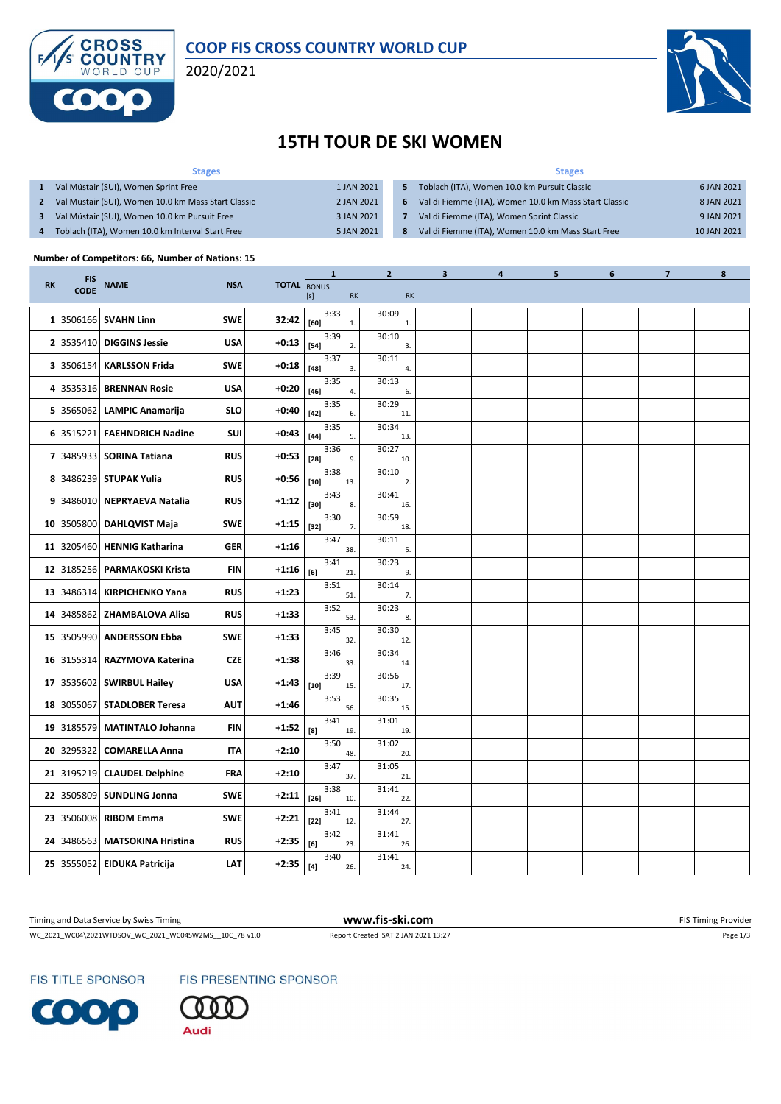

## **COOP FIS CROSS COUNTRY WORLD CUP**

2020/2021



## **15TH TOUR DE SKI WOMEN**

| <b>Stages</b>                                       |            | <b>Stages</b>  |                                                       |             |  |  |  |  |
|-----------------------------------------------------|------------|----------------|-------------------------------------------------------|-------------|--|--|--|--|
| Val Müstair (SUI), Women Sprint Free                | 1 JAN 2021 | 5.             | Toblach (ITA), Women 10.0 km Pursuit Classic          | 6 JAN 2021  |  |  |  |  |
| Val Müstair (SUI), Women 10.0 km Mass Start Classic | 2 JAN 2021 | 6              | Val di Fiemme (ITA), Women 10.0 km Mass Start Classic | 8 JAN 2021  |  |  |  |  |
| Val Müstair (SUI), Women 10.0 km Pursuit Free       | 3 JAN 2021 |                | Val di Fiemme (ITA), Women Sprint Classic             | 9 JAN 2021  |  |  |  |  |
| Toblach (ITA), Women 10.0 km Interval Start Free    | 5 JAN 2021 | 8 <sup>1</sup> | Val di Fiemme (ITA), Women 10.0 km Mass Start Free    | 10 JAN 2021 |  |  |  |  |

#### **Number of Competitors: 66, Number of Nations: 15**

|           |             |                                |            |                    | $\mathbf{1}$                     | $\mathbf{2}$          | 3 | 4 | 5 | 6 | $\overline{\mathbf{z}}$ | 8 |
|-----------|-------------|--------------------------------|------------|--------------------|----------------------------------|-----------------------|---|---|---|---|-------------------------|---|
| <b>RK</b> | FIS<br>CODE | <b>NAME</b>                    | <b>NSA</b> | <b>TOTAL BONUS</b> | [s]<br><b>RK</b>                 | RK                    |   |   |   |   |                         |   |
|           |             | 1 3506166 SVAHN Linn           | <b>SWE</b> | 32:42              | 3:33<br>$[60]$<br>1.             | 30:09<br>1.           |   |   |   |   |                         |   |
|           |             | 2 3535410 DIGGINS Jessie       | <b>USA</b> | $+0:13$            | 3:39<br>$[54]$<br>2.             | 30:10<br>3.           |   |   |   |   |                         |   |
|           |             | 3 3506154 KARLSSON Frida       | <b>SWE</b> | $+0:18$            | 3:37<br>$[48]$<br>3.             | 30:11<br>4.           |   |   |   |   |                         |   |
|           |             | 4 3535316 BRENNAN Rosie        | <b>USA</b> | $+0:20$            | 3:35<br>$\left[ 46\right]$<br>4. | 30:13<br>6.           |   |   |   |   |                         |   |
|           |             | 5 3565062 LAMPIC Anamarija     | <b>SLO</b> | $+0:40$            | 3:35<br>$[42]$<br>6.             | 30:29<br>11.          |   |   |   |   |                         |   |
|           |             | 6 3515221 FAEHNDRICH Nadine    | SUI        | $+0:43$            | 3:35<br>$[44]$<br>5.             | 30:34<br>13.          |   |   |   |   |                         |   |
|           |             | 7 3485933 SORINA Tatiana       | <b>RUS</b> | $+0:53$            | 3:36<br>$[28]$<br>9.             | 30:27<br>10.          |   |   |   |   |                         |   |
|           |             | 8 3486239 STUPAK Yulia         | <b>RUS</b> | $+0:56$            | 3:38<br>$[10]$<br>13.            | 30:10<br>2.           |   |   |   |   |                         |   |
|           |             | 9 3486010 NEPRYAEVA Natalia    | <b>RUS</b> | $+1:12$            | 3:43<br>$[30]$<br>8.             | 30:41<br>16.          |   |   |   |   |                         |   |
|           |             | 10 3505800 DAHLQVIST Maja      | <b>SWE</b> | $+1:15$            | 3:30<br>$[32]$<br>7.             | 30:59<br>18.          |   |   |   |   |                         |   |
|           |             | 11 3205460 HENNIG Katharina    | <b>GER</b> | $+1:16$            | 3:47<br>38.                      | 30:11<br>5.           |   |   |   |   |                         |   |
|           |             | 12 3185256 PARMAKOSKI Krista   | <b>FIN</b> | +1:16              | 3:41<br>[6]<br>21.               | 30:23<br>9.           |   |   |   |   |                         |   |
|           |             | 13 3486314 KIRPICHENKO Yana    | <b>RUS</b> | $+1:23$            | 3:51<br>51.                      | 30:14<br>7.           |   |   |   |   |                         |   |
|           |             | 14  3485862   ZHAMBALOVA Alisa | <b>RUS</b> | $+1:33$            | 3:52<br>53.                      | 30:23<br>8.           |   |   |   |   |                         |   |
|           |             | 15 3505990 ANDERSSON Ebba      | <b>SWE</b> | $+1:33$            | 3:45<br>32.                      | 30:30<br>12.          |   |   |   |   |                         |   |
|           |             | 16 3155314 RAZYMOVA Katerina   | <b>CZE</b> | $+1:38$            | 3:46<br>33.                      | 30:34<br>14.          |   |   |   |   |                         |   |
|           |             | 17 3535602 SWIRBUL Hailey      | <b>USA</b> | $+1:43$            | 3:39<br>$[10]$<br>15.            | 30:56<br>17.<br>30:35 |   |   |   |   |                         |   |
|           |             | 18 3055067 STADLOBER Teresa    | <b>AUT</b> | $+1:46$            | 3:53<br>56.<br>3:41              | 15.<br>31:01          |   |   |   |   |                         |   |
|           |             | 19 3185579 MATINTALO Johanna   | <b>FIN</b> | $+1:52$            | [8]<br>19.<br>3:50               | 19.<br>31:02          |   |   |   |   |                         |   |
|           |             | 20 3295322 COMARELLA Anna      | IΤΑ        | $+2:10$            | 48.<br>3:47                      | 20.<br>31:05          |   |   |   |   |                         |   |
|           |             | 21 3195219 CLAUDEL Delphine    | <b>FRA</b> | $+2:10$            | 37.<br>3:38                      | 21.<br>31:41          |   |   |   |   |                         |   |
|           |             | 22 3505809 SUNDLING Jonna      | <b>SWE</b> | $+2:11$            | $[26]$<br>10.<br>3:41            | 22.<br>31:44          |   |   |   |   |                         |   |
|           |             | 23 3506008 RIBOM Emma          | <b>SWE</b> | $+2:21$            | $[22]$<br>12.<br>3:42            | 27.<br>31:41          |   |   |   |   |                         |   |
|           |             | 24 3486563 MATSOKINA Hristina  | <b>RUS</b> | $+2:35$            | [6]<br>23.<br>3:40               | 26.<br>31:41          |   |   |   |   |                         |   |
|           |             | 25 3555052 EIDUKA Patricija    | LAT        | $+2:35$            | $[4]$<br>26.                     | 24.                   |   |   |   |   |                         |   |

WC\_2021\_WC04\2021WTDSOV\_WC\_2021\_WC04SW2MS\_\_10C\_78 v1.0 Report Created SAT 2 JAN 2021 13:27 Page 1/3 Timing and Data Service by Swiss Timing **WWW.fis-Ski.com WWW.fis-Ski.com FIS Timing Provider** FIS Timing Provider

FIS TITLE SPONSOR

FIS PRESENTING SPONSOR



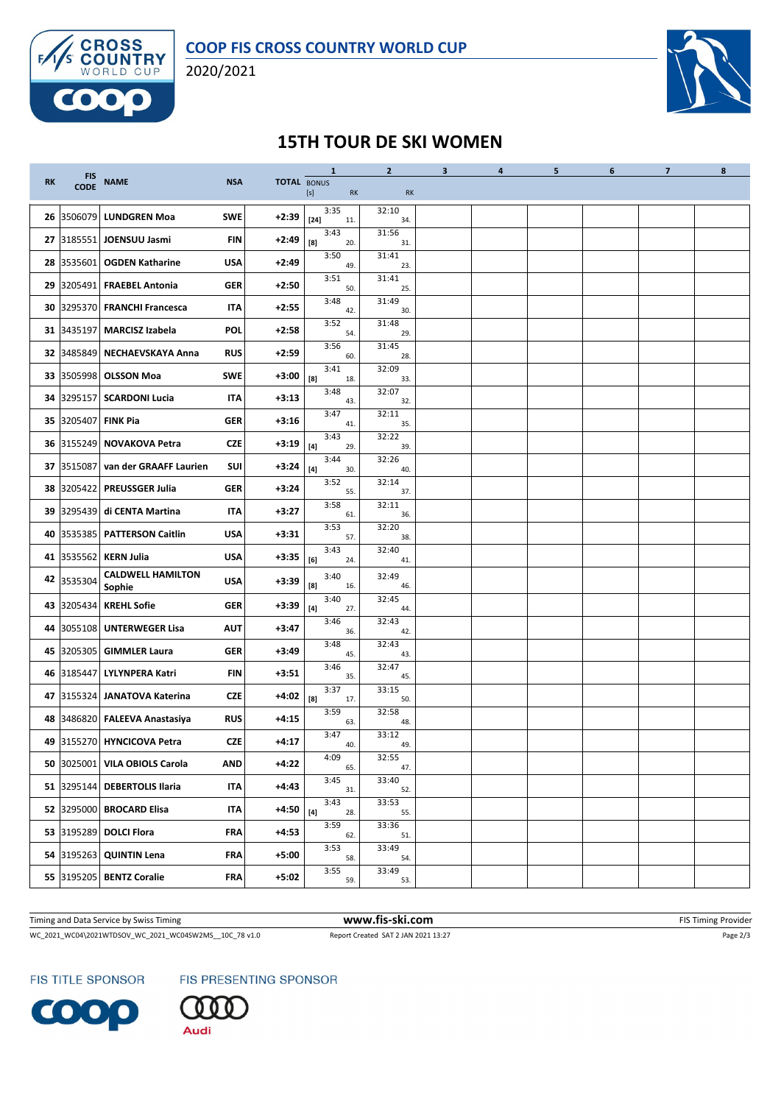

2020/2021



# **15TH TOUR DE SKI WOMEN**

|           |             |                                    |            |                    | $\mathbf{1}$                                                                                                                                                                                                                                                                                                                                                                                                                                                                                                                                                                                                                                                             | $\mathbf{2}$ | 3 <sup>1</sup> | $\overline{\mathbf{a}}$ | 5 | 6 | $\overline{\mathbf{z}}$ | 8 |
|-----------|-------------|------------------------------------|------------|--------------------|--------------------------------------------------------------------------------------------------------------------------------------------------------------------------------------------------------------------------------------------------------------------------------------------------------------------------------------------------------------------------------------------------------------------------------------------------------------------------------------------------------------------------------------------------------------------------------------------------------------------------------------------------------------------------|--------------|----------------|-------------------------|---|---|-------------------------|---|
| <b>RK</b> | FIS<br>CODE | <b>NAME</b>                        | <b>NSA</b> | <b>TOTAL BONUS</b> | $[s] % \begin{center} % \includegraphics[width=\linewidth]{imagesSupplemental_3.png} % \end{center} % \caption { % \textit{DefNet} of the \textit{DefNet} dataset. % Note that the \textit{DefNet} and \textit{DefNet} dataset. % Note that the \textit{DefNet} and \textit{DefNet} dataset. % Note that the \textit{DefNet} and \textit{DefNet} dataset. % Note that the \textit{DefNet} and \textit{DefNet} dataset. % Note that the \textit{DefNet} and \textit{DefNet} dataset. % Note that the \textit{DefNet} and \textit{DefNet} dataset. % Note that the \textit{DefNet} and \textit{DefNet} dataset. % Note that the \textit{DefNet} and \textit{DefNet}$<br>RK | <b>RK</b>    |                |                         |   |   |                         |   |
|           |             | 26 3506079 LUNDGREN Moa            | <b>SWE</b> | $+2:39$            | 3:35<br>$[24]$<br>11.                                                                                                                                                                                                                                                                                                                                                                                                                                                                                                                                                                                                                                                    | 32:10<br>34. |                |                         |   |   |                         |   |
|           | 27 3185551  | JOENSUU Jasmi                      | <b>FIN</b> | $+2:49$            | 3:43<br>$^{[8]}$<br>20.                                                                                                                                                                                                                                                                                                                                                                                                                                                                                                                                                                                                                                                  | 31:56<br>31. |                |                         |   |   |                         |   |
|           | 28 3535601  | <b>OGDEN Katharine</b>             | <b>USA</b> | $+2:49$            | 3:50<br>49.                                                                                                                                                                                                                                                                                                                                                                                                                                                                                                                                                                                                                                                              | 31:41<br>23. |                |                         |   |   |                         |   |
|           |             | 29 3205491 FRAEBEL Antonia         | <b>GER</b> | $+2:50$            | 3:51<br>50.                                                                                                                                                                                                                                                                                                                                                                                                                                                                                                                                                                                                                                                              | 31:41<br>25. |                |                         |   |   |                         |   |
|           | 30 3295370  | <b>FRANCHI Francesca</b>           | IΤΑ        | $+2:55$            | 3:48<br>42.                                                                                                                                                                                                                                                                                                                                                                                                                                                                                                                                                                                                                                                              | 31:49<br>30. |                |                         |   |   |                         |   |
|           | 31 3435197  | <b>MARCISZ Izabela</b>             | <b>POL</b> | $+2:58$            | 3:52<br>54.                                                                                                                                                                                                                                                                                                                                                                                                                                                                                                                                                                                                                                                              | 31:48<br>29. |                |                         |   |   |                         |   |
|           | 32 3485849  | <b>NECHAEVSKAYA Anna</b>           | <b>RUS</b> | $+2:59$            | 3:56<br>60.                                                                                                                                                                                                                                                                                                                                                                                                                                                                                                                                                                                                                                                              | 31:45<br>28. |                |                         |   |   |                         |   |
|           |             | 33 3505998 OLSSON Moa              | <b>SWE</b> | +3:00              | 3:41<br>[8]<br>18.                                                                                                                                                                                                                                                                                                                                                                                                                                                                                                                                                                                                                                                       | 32:09<br>33. |                |                         |   |   |                         |   |
|           |             | 34 3295157 SCARDONI Lucia          | IΤΑ        | $+3:13$            | 3:48<br>43.                                                                                                                                                                                                                                                                                                                                                                                                                                                                                                                                                                                                                                                              | 32:07<br>32. |                |                         |   |   |                         |   |
|           | 35 3205407  | <b>FINK Pia</b>                    | <b>GER</b> | $+3:16$            | 3:47<br>41.                                                                                                                                                                                                                                                                                                                                                                                                                                                                                                                                                                                                                                                              | 32:11<br>35. |                |                         |   |   |                         |   |
|           | 36 3155249  | NOVAKOVA Petra                     | <b>CZE</b> | +3:19              | 3:43<br>$[4]$<br>29.                                                                                                                                                                                                                                                                                                                                                                                                                                                                                                                                                                                                                                                     | 32:22<br>39. |                |                         |   |   |                         |   |
|           | 37 3515087  | van der GRAAFF Laurien             | <b>SUI</b> | +3:24              | 3:44<br>$[4]$<br>30.                                                                                                                                                                                                                                                                                                                                                                                                                                                                                                                                                                                                                                                     | 32:26<br>40. |                |                         |   |   |                         |   |
|           | 38 3205422  | <b>PREUSSGER Julia</b>             | <b>GER</b> | $+3:24$            | 3:52<br>55.                                                                                                                                                                                                                                                                                                                                                                                                                                                                                                                                                                                                                                                              | 32:14<br>37. |                |                         |   |   |                         |   |
|           | 39 3295439  | di CENTA Martina                   | IΤΑ        | $+3:27$            | 3:58<br>61.                                                                                                                                                                                                                                                                                                                                                                                                                                                                                                                                                                                                                                                              | 32:11<br>36. |                |                         |   |   |                         |   |
|           | 40 3535385  | <b>PATTERSON Caitlin</b>           | <b>USA</b> | $+3:31$            | 3:53<br>57.                                                                                                                                                                                                                                                                                                                                                                                                                                                                                                                                                                                                                                                              | 32:20<br>38. |                |                         |   |   |                         |   |
|           | 41 3535562  | <b>KERN Julia</b>                  | <b>USA</b> | +3:35              | 3:43<br>[6]<br>24.                                                                                                                                                                                                                                                                                                                                                                                                                                                                                                                                                                                                                                                       | 32:40<br>41. |                |                         |   |   |                         |   |
|           | 42 3535304  | <b>CALDWELL HAMILTON</b><br>Sophie | <b>USA</b> | +3:39              | 3:40<br>$^{[8]}$<br>16.                                                                                                                                                                                                                                                                                                                                                                                                                                                                                                                                                                                                                                                  | 32:49<br>46. |                |                         |   |   |                         |   |
|           | 43 3205434  | <b>KREHL Sofie</b>                 | <b>GER</b> | +3:39              | 3:40<br>$[4]$<br>27.                                                                                                                                                                                                                                                                                                                                                                                                                                                                                                                                                                                                                                                     | 32:45<br>44. |                |                         |   |   |                         |   |
|           | 44 3055108  | <b>UNTERWEGER Lisa</b>             | <b>AUT</b> | +3:47              | 3:46<br>36.                                                                                                                                                                                                                                                                                                                                                                                                                                                                                                                                                                                                                                                              | 32:43<br>42. |                |                         |   |   |                         |   |
|           | 45 3205305  | <b>GIMMLER Laura</b>               | <b>GER</b> | +3:49              | 3:48<br>45.                                                                                                                                                                                                                                                                                                                                                                                                                                                                                                                                                                                                                                                              | 32:43<br>43. |                |                         |   |   |                         |   |
|           | 46 3185447  | LYLYNPERA Katri                    | FIN        | $+3:51$            | 3:46<br>35.                                                                                                                                                                                                                                                                                                                                                                                                                                                                                                                                                                                                                                                              | 32:47<br>45. |                |                         |   |   |                         |   |
|           |             | 47 3155324 JANATOVA Katerina       | <b>CZE</b> | +4:02              | 3:37<br>[8]<br>17.                                                                                                                                                                                                                                                                                                                                                                                                                                                                                                                                                                                                                                                       | 33:15<br>50. |                |                         |   |   |                         |   |
|           |             | 48 3486820 FALEEVA Anastasiya      | <b>RUS</b> | $+4:15$            | 3:59<br>63.                                                                                                                                                                                                                                                                                                                                                                                                                                                                                                                                                                                                                                                              | 32:58<br>48. |                |                         |   |   |                         |   |
|           |             | 49 3155270 HYNCICOVA Petra         | <b>CZE</b> | $+4:17$            | 3:47<br>40.                                                                                                                                                                                                                                                                                                                                                                                                                                                                                                                                                                                                                                                              | 33:12<br>49. |                |                         |   |   |                         |   |
|           |             | 50 3025001 VILA OBIOLS Carola      | <b>AND</b> | $+4:22$            | 4:09<br>65.                                                                                                                                                                                                                                                                                                                                                                                                                                                                                                                                                                                                                                                              | 32:55<br>47. |                |                         |   |   |                         |   |
|           | 51 3295144  | <b>DEBERTOLIS Ilaria</b>           | <b>ITA</b> | +4:43              | 3:45<br>31.                                                                                                                                                                                                                                                                                                                                                                                                                                                                                                                                                                                                                                                              | 33:40<br>52. |                |                         |   |   |                         |   |
|           | 52 3295000  | <b>BROCARD Elisa</b>               | IΤΑ        | +4:50              | 3:43<br>$[4] \centering% \includegraphics[width=1.0\textwidth]{images/TrDiM1.png} \caption{The 3D (blue) and the 4D (blue) are shown in the left panel. The three different values of the blue and blue. The blue line represents the maximum number of red and blue.} \label{TrDiM2}$<br>28.                                                                                                                                                                                                                                                                                                                                                                            | 33:53<br>55. |                |                         |   |   |                         |   |
|           | 53 3195289  | <b>DOLCI Flora</b>                 | FRA        | $+4:53$            | 3:59<br>62.                                                                                                                                                                                                                                                                                                                                                                                                                                                                                                                                                                                                                                                              | 33:36<br>51. |                |                         |   |   |                         |   |
|           | 54 3195263  | <b>QUINTIN Lena</b>                | FRA        | $+5:00$            | 3:53<br>58.                                                                                                                                                                                                                                                                                                                                                                                                                                                                                                                                                                                                                                                              | 33:49<br>54. |                |                         |   |   |                         |   |
|           |             | 55 3195205 BENTZ Coralie           | FRA        | $+5:02$            | 3:55<br>59.                                                                                                                                                                                                                                                                                                                                                                                                                                                                                                                                                                                                                                                              | 33:49<br>53. |                |                         |   |   |                         |   |

Timing and Data Service by Swiss Timing **WWW.fis-Ski.com WWW.fis-Ski.com FIS Timing Provider** FIS Timing Provider

WC\_2021\_WC04\2021WTDSOV\_WC\_2021\_WC04SW2MS\_\_10C\_78 v1.0 Report Created SAT 2 JAN 2021 13:27 Page 2/3

FIS TITLE SPONSOR